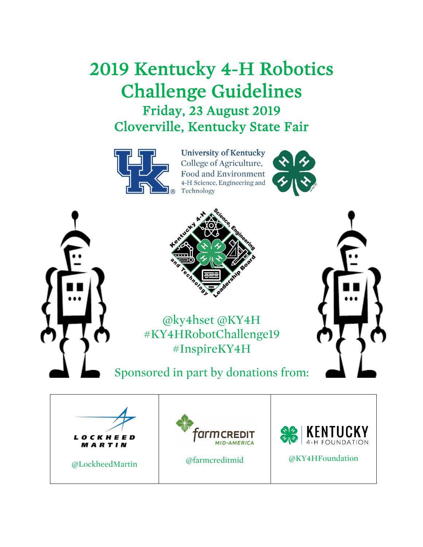# 2019 Kentucky 4-H Robotics Challenge Guidelines Friday, 23 August 2019 Cloverville, Kentucky State Fair



**University of Kentucky** College of Agriculture, **Food and Environment** 4-H Science, Engineering and Technology





@ky4hset @KY4H #KY4HRobotChallenge19 #InspireKY4H

Sponsored in part by donations from:

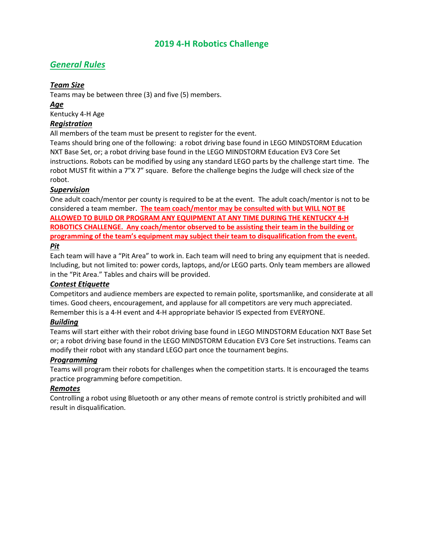## **2019 4-H Robotics Challenge**

# *General Rules*

## *Team Size*

Teams may be between three (3) and five (5) members.

## *Age*

Kentucky 4-H Age

## *Registration*

All members of the team must be present to register for the event.

Teams should bring one of the following: a robot driving base found in LEGO MINDSTORM Education NXT Base Set, or; a robot driving base found in the LEGO MINDSTORM Education EV3 Core Set instructions. Robots can be modified by using any standard LEGO parts by the challenge start time. The robot MUST fit within a 7"X 7" square. Before the challenge begins the Judge will check size of the robot.

## *Supervision*

One adult coach/mentor per county is required to be at the event. The adult coach/mentor is not to be considered a team member. **The team coach/mentor may be consulted with but WILL NOT BE ALLOWED TO BUILD OR PROGRAM ANY EQUIPMENT AT ANY TIME DURING THE KENTUCKY 4-H ROBOTICS CHALLENGE. Any coach/mentor observed to be assisting their team in the building or programming of the team's equipment may subject their team to disqualification from the event.** *Pit*

Each team will have a "Pit Area" to work in. Each team will need to bring any equipment that is needed. Including, but not limited to: power cords, laptops, and/or LEGO parts. Only team members are allowed in the "Pit Area." Tables and chairs will be provided.

## *Contest Etiquette*

Competitors and audience members are expected to remain polite, sportsmanlike, and considerate at all times. Good cheers, encouragement, and applause for all competitors are very much appreciated. Remember this is a 4-H event and 4-H appropriate behavior IS expected from EVERYONE.

## *Building*

Teams will start either with their robot driving base found in LEGO MINDSTORM Education NXT Base Set or; a robot driving base found in the LEGO MINDSTORM Education EV3 Core Set instructions. Teams can modify their robot with any standard LEGO part once the tournament begins.

## *Programming*

Teams will program their robots for challenges when the competition starts. It is encouraged the teams practice programming before competition.

## *Remotes*

Controlling a robot using Bluetooth or any other means of remote control is strictly prohibited and will result in disqualification.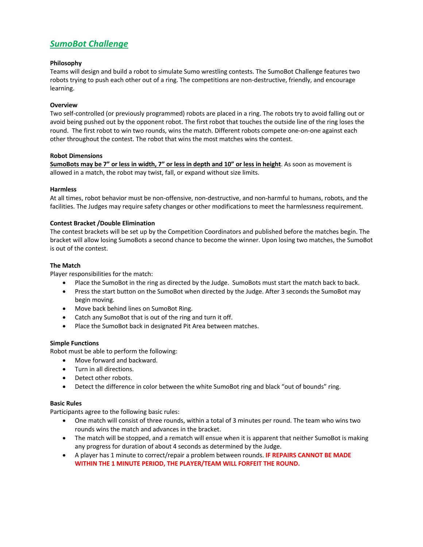# *SumoBot Challenge*

#### **Philosophy**

Teams will design and build a robot to simulate Sumo wrestling contests. The SumoBot Challenge features two robots trying to push each other out of a ring. The competitions are non-destructive, friendly, and encourage learning.

#### **Overview**

Two self-controlled (or previously programmed) robots are placed in a ring. The robots try to avoid falling out or avoid being pushed out by the opponent robot. The first robot that touches the outside line of the ring loses the round. The first robot to win two rounds, wins the match. Different robots compete one-on-one against each other throughout the contest. The robot that wins the most matches wins the contest.

#### **Robot Dimensions**

**SumoBots may be 7" or less in width, 7" or less in depth and 10" or less in height**. As soon as movement is allowed in a match, the robot may twist, fall, or expand without size limits.

#### **Harmless**

At all times, robot behavior must be non-offensive, non-destructive, and non-harmful to humans, robots, and the facilities. The Judges may require safety changes or other modifications to meet the harmlessness requirement.

#### **Contest Bracket /Double Elimination**

The contest brackets will be set up by the Competition Coordinators and published before the matches begin. The bracket will allow losing SumoBots a second chance to become the winner. Upon losing two matches, the SumoBot is out of the contest.

#### **The Match**

Player responsibilities for the match:

- Place the SumoBot in the ring as directed by the Judge. SumoBots must start the match back to back.
- Press the start button on the SumoBot when directed by the Judge. After 3 seconds the SumoBot may begin moving.
- Move back behind lines on SumoBot Ring.
- Catch any SumoBot that is out of the ring and turn it off.
- Place the SumoBot back in designated Pit Area between matches.

#### **Simple Functions**

Robot must be able to perform the following:

- Move forward and backward.
- Turn in all directions.
- Detect other robots.
- Detect the difference in color between the white SumoBot ring and black "out of bounds" ring.

#### **Basic Rules**

Participants agree to the following basic rules:

- One match will consist of three rounds, within a total of 3 minutes per round. The team who wins two rounds wins the match and advances in the bracket.
- The match will be stopped, and a rematch will ensue when it is apparent that neither SumoBot is making any progress for duration of about 4 seconds as determined by the Judge.
- A player has 1 minute to correct/repair a problem between rounds. **IF REPAIRS CANNOT BE MADE WITHIN THE 1 MINUTE PERIOD, THE PLAYER/TEAM WILL FORFEIT THE ROUND.**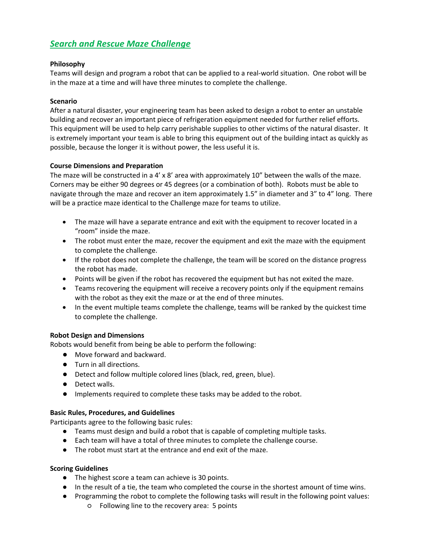# *Search and Rescue Maze Challenge*

## **Philosophy**

Teams will design and program a robot that can be applied to a real-world situation. One robot will be in the maze at a time and will have three minutes to complete the challenge.

## **Scenario**

After a natural disaster, your engineering team has been asked to design a robot to enter an unstable building and recover an important piece of refrigeration equipment needed for further relief efforts. This equipment will be used to help carry perishable supplies to other victims of the natural disaster. It is extremely important your team is able to bring this equipment out of the building intact as quickly as possible, because the longer it is without power, the less useful it is.

## **Course Dimensions and Preparation**

The maze will be constructed in a  $4' \times 8'$  area with approximately 10" between the walls of the maze. Corners may be either 90 degrees or 45 degrees (or a combination of both). Robots must be able to navigate through the maze and recover an item approximately 1.5" in diameter and 3" to 4" long. There will be a practice maze identical to the Challenge maze for teams to utilize.

- The maze will have a separate entrance and exit with the equipment to recover located in a "room" inside the maze.
- The robot must enter the maze, recover the equipment and exit the maze with the equipment to complete the challenge.
- If the robot does not complete the challenge, the team will be scored on the distance progress the robot has made.
- Points will be given if the robot has recovered the equipment but has not exited the maze.
- Teams recovering the equipment will receive a recovery points only if the equipment remains with the robot as they exit the maze or at the end of three minutes.
- In the event multiple teams complete the challenge, teams will be ranked by the quickest time to complete the challenge.

## **Robot Design and Dimensions**

Robots would benefit from being be able to perform the following:

- Move forward and backward.
- Turn in all directions.
- Detect and follow multiple colored lines (black, red, green, blue).
- Detect walls.
- Implements required to complete these tasks may be added to the robot.

## **Basic Rules, Procedures, and Guidelines**

Participants agree to the following basic rules:

- Teams must design and build a robot that is capable of completing multiple tasks.
- Each team will have a total of three minutes to complete the challenge course.
- The robot must start at the entrance and end exit of the maze.

## **Scoring Guidelines**

- The highest score a team can achieve is 30 points.
- In the result of a tie, the team who completed the course in the shortest amount of time wins.
- Programming the robot to complete the following tasks will result in the following point values:
	- Following line to the recovery area: 5 points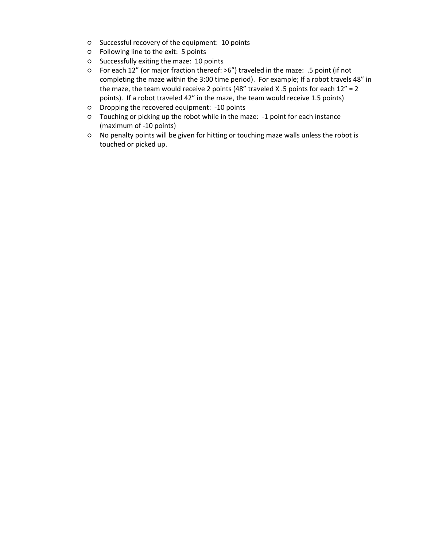- Successful recovery of the equipment: 10 points
- Following line to the exit: 5 points
- Successfully exiting the maze: 10 points
- For each 12" (or major fraction thereof: >6") traveled in the maze: .5 point (if not completing the maze within the 3:00 time period). For example; If a robot travels 48" in the maze, the team would receive 2 points (48" traveled X .5 points for each  $12" = 2$ points). If a robot traveled 42" in the maze, the team would receive 1.5 points)
- Dropping the recovered equipment: -10 points
- Touching or picking up the robot while in the maze: -1 point for each instance (maximum of -10 points)
- No penalty points will be given for hitting or touching maze walls unless the robot is touched or picked up.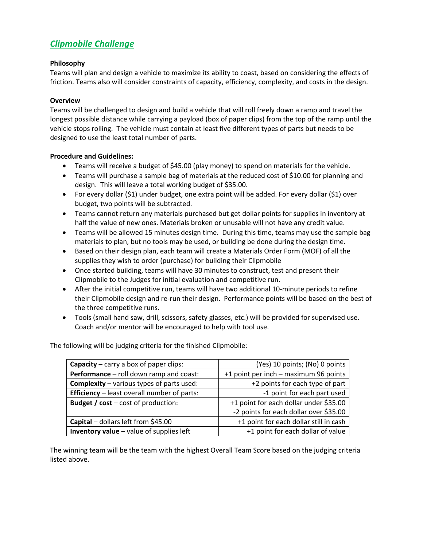# *Clipmobile Challenge*

## **Philosophy**

Teams will plan and design a vehicle to maximize its ability to coast, based on considering the effects of friction. Teams also will consider constraints of capacity, efficiency, complexity, and costs in the design.

## **Overview**

Teams will be challenged to design and build a vehicle that will roll freely down a ramp and travel the longest possible distance while carrying a payload (box of paper clips) from the top of the ramp until the vehicle stops rolling. The vehicle must contain at least five different types of parts but needs to be designed to use the least total number of parts.

## **Procedure and Guidelines:**

- Teams will receive a budget of \$45.00 (play money) to spend on materials for the vehicle.
- Teams will purchase a sample bag of materials at the reduced cost of \$10.00 for planning and design. This will leave a total working budget of \$35.00.
- For every dollar (\$1) under budget, one extra point will be added. For every dollar (\$1) over budget, two points will be subtracted.
- Teams cannot return any materials purchased but get dollar points for supplies in inventory at half the value of new ones. Materials broken or unusable will not have any credit value.
- Teams will be allowed 15 minutes design time. During this time, teams may use the sample bag materials to plan, but no tools may be used, or building be done during the design time.
- Based on their design plan, each team will create a Materials Order Form (MOF) of all the supplies they wish to order (purchase) for building their Clipmobile
- Once started building, teams will have 30 minutes to construct, test and present their Clipmobile to the Judges for initial evaluation and competitive run.
- After the initial competitive run, teams will have two additional 10-minute periods to refine their Clipmobile design and re-run their design. Performance points will be based on the best of the three competitive runs.
- Tools (small hand saw, drill, scissors, safety glasses, etc.) will be provided for supervised use. Coach and/or mentor will be encouraged to help with tool use.

The following will be judging criteria for the finished Clipmobile:

| <b>Capacity</b> – carry a box of paper clips:      | (Yes) 10 points; (No) 0 points         |
|----------------------------------------------------|----------------------------------------|
| Performance - roll down ramp and coast:            | +1 point per inch - maximum 96 points  |
| <b>Complexity</b> – various types of parts used:   | +2 points for each type of part        |
| <b>Efficiency</b> – least overall number of parts: | -1 point for each part used            |
| <b>Budget / cost</b> $-$ cost of production:       | +1 point for each dollar under \$35.00 |
|                                                    | -2 points for each dollar over \$35.00 |
| Capital - dollars left from \$45.00                | +1 point for each dollar still in cash |
| Inventory value - value of supplies left           | +1 point for each dollar of value      |

The winning team will be the team with the highest Overall Team Score based on the judging criteria listed above.